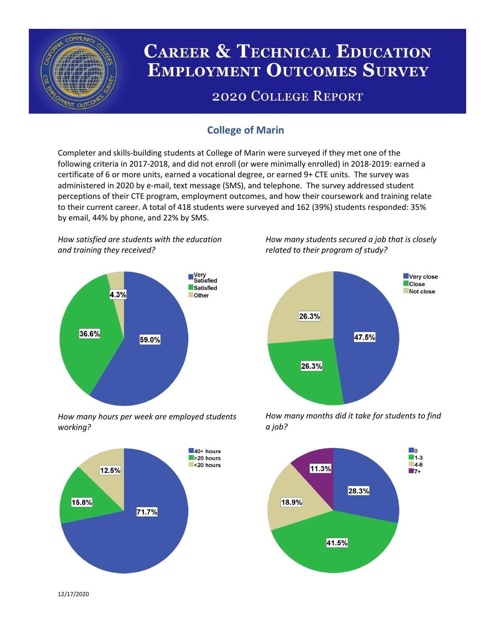

# **CAREER & TECHNICAL EDUCATION EMPLOYMENT OUTCOMES SURVEY**

## **2020 COLLEGE REPORT**

## **College of Marin**

Completer and skills-building students at College of Marin were surveyed if they met one of the following criteria in 2017-2018, and did not enroll (or were minimally enrolled) in 2018-2019: earned a certificate of 6 or more units, earned a vocational degree, or earned 9+ CTE units. The survey was administered in 2020 by e-mail, text message (SMS), and telephone. The survey addressed student perceptions of their CTE program, employment outcomes, and how their coursework and training relate to their current career. A total of 418 students were surveyed and 162 (39%) students responded: 35% by email, 44% by phone, and 22% by SMS.

*How satisfied are students with the education and training they received?*



*How many hours per week are employed students working?*



*How many students secured a job that is closely related to their program of study?*



*How many months did it take for students to find a job?*



12/17/2020